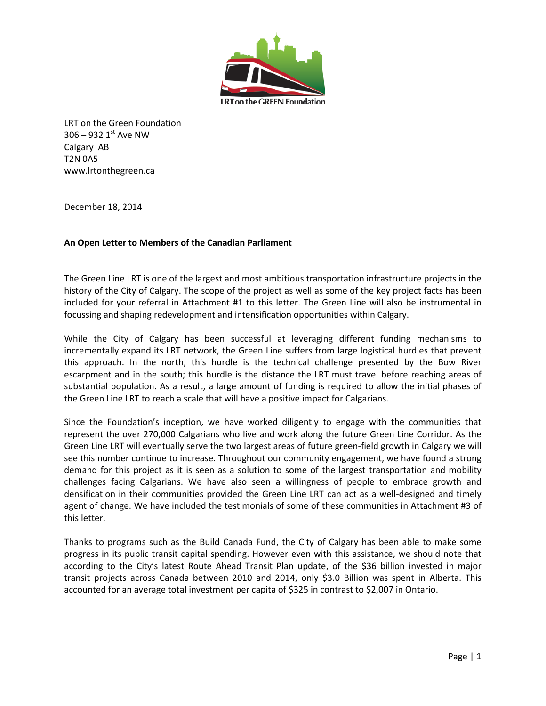

LRT on the Green Foundation  $306 - 932$  1st Ave NW Calgary AB T2N 0A5 www.lrtonthegreen.ca

December 18, 2014

## **An Open Letter to Members of the Canadian Parliament**

The Green Line LRT is one of the largest and most ambitious transportation infrastructure projects in the history of the City of Calgary. The scope of the project as well as some of the key project facts has been included for your referral in Attachment #1 to this letter. The Green Line will also be instrumental in focussing and shaping redevelopment and intensification opportunities within Calgary.

While the City of Calgary has been successful at leveraging different funding mechanisms to incrementally expand its LRT network, the Green Line suffers from large logistical hurdles that prevent this approach. In the north, this hurdle is the technical challenge presented by the Bow River escarpment and in the south; this hurdle is the distance the LRT must travel before reaching areas of substantial population. As a result, a large amount of funding is required to allow the initial phases of the Green Line LRT to reach a scale that will have a positive impact for Calgarians.

Since the Foundation's inception, we have worked diligently to engage with the communities that represent the over 270,000 Calgarians who live and work along the future Green Line Corridor. As the Green Line LRT will eventually serve the two largest areas of future green-field growth in Calgary we will see this number continue to increase. Throughout our community engagement, we have found a strong demand for this project as it is seen as a solution to some of the largest transportation and mobility challenges facing Calgarians. We have also seen a willingness of people to embrace growth and densification in their communities provided the Green Line LRT can act as a well-designed and timely agent of change. We have included the testimonials of some of these communities in Attachment #3 of this letter.

Thanks to programs such as the Build Canada Fund, the City of Calgary has been able to make some progress in its public transit capital spending. However even with this assistance, we should note that according to the City's latest Route Ahead Transit Plan update, of the \$36 billion invested in major transit projects across Canada between 2010 and 2014, only \$3.0 Billion was spent in Alberta. This accounted for an average total investment per capita of \$325 in contrast to \$2,007 in Ontario.